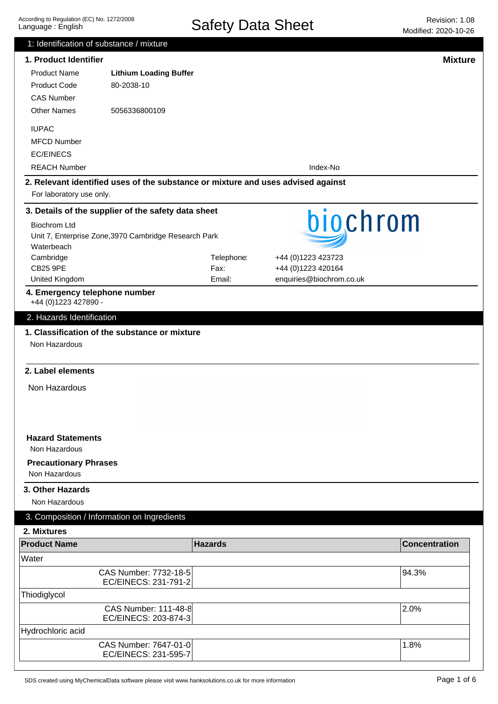| 1: Identification of substance / mixture      |                                                                                  |                    |                                          |                      |
|-----------------------------------------------|----------------------------------------------------------------------------------|--------------------|------------------------------------------|----------------------|
| 1. Product Identifier                         |                                                                                  |                    |                                          | <b>Mixture</b>       |
| <b>Product Name</b>                           | <b>Lithium Loading Buffer</b>                                                    |                    |                                          |                      |
| <b>Product Code</b>                           | 80-2038-10                                                                       |                    |                                          |                      |
| <b>CAS Number</b>                             |                                                                                  |                    |                                          |                      |
| <b>Other Names</b>                            | 5056336800109                                                                    |                    |                                          |                      |
| <b>IUPAC</b>                                  |                                                                                  |                    |                                          |                      |
| <b>MFCD Number</b>                            |                                                                                  |                    |                                          |                      |
| <b>EC/EINECS</b>                              |                                                                                  |                    |                                          |                      |
| <b>REACH Number</b>                           |                                                                                  |                    | Index-No                                 |                      |
|                                               |                                                                                  |                    |                                          |                      |
| For laboratory use only.                      | 2. Relevant identified uses of the substance or mixture and uses advised against |                    |                                          |                      |
|                                               | 3. Details of the supplier of the safety data sheet                              |                    |                                          |                      |
| <b>Biochrom Ltd</b>                           |                                                                                  |                    | biochrom                                 |                      |
|                                               | Unit 7, Enterprise Zone, 3970 Cambridge Research Park                            |                    |                                          |                      |
| Waterbeach                                    |                                                                                  |                    |                                          |                      |
| Cambridge<br><b>CB25 9PE</b>                  |                                                                                  | Telephone:<br>Fax: | +44 (0)1223 423723<br>+44 (0)1223 420164 |                      |
| United Kingdom                                |                                                                                  | Email:             | enquiries@biochrom.co.uk                 |                      |
| 4. Emergency telephone number                 |                                                                                  |                    |                                          |                      |
| +44 (0)1223 427890 -                          |                                                                                  |                    |                                          |                      |
| 2. Hazards Identification                     |                                                                                  |                    |                                          |                      |
|                                               | 1. Classification of the substance or mixture                                    |                    |                                          |                      |
| Non Hazardous                                 |                                                                                  |                    |                                          |                      |
|                                               |                                                                                  |                    |                                          |                      |
| 2. Label elements                             |                                                                                  |                    |                                          |                      |
| Non Hazardous                                 |                                                                                  |                    |                                          |                      |
|                                               |                                                                                  |                    |                                          |                      |
|                                               |                                                                                  |                    |                                          |                      |
|                                               |                                                                                  |                    |                                          |                      |
| <b>Hazard Statements</b><br>Non Hazardous     |                                                                                  |                    |                                          |                      |
|                                               |                                                                                  |                    |                                          |                      |
| <b>Precautionary Phrases</b><br>Non Hazardous |                                                                                  |                    |                                          |                      |
|                                               |                                                                                  |                    |                                          |                      |
| 3. Other Hazards                              |                                                                                  |                    |                                          |                      |
| Non Hazardous                                 |                                                                                  |                    |                                          |                      |
|                                               | 3. Composition / Information on Ingredients                                      |                    |                                          |                      |
| 2. Mixtures                                   |                                                                                  |                    |                                          |                      |
| <b>Product Name</b>                           |                                                                                  | <b>Hazards</b>     |                                          | <b>Concentration</b> |
| Water                                         |                                                                                  |                    |                                          |                      |
|                                               | CAS Number: 7732-18-5                                                            |                    |                                          | 94.3%                |
|                                               | EC/EINECS: 231-791-2                                                             |                    |                                          |                      |
| Thiodiglycol                                  |                                                                                  |                    |                                          |                      |
|                                               | CAS Number: 111-48-8                                                             |                    |                                          | 2.0%                 |
|                                               | EC/EINECS: 203-874-3                                                             |                    |                                          |                      |
| Hydrochloric acid                             |                                                                                  |                    |                                          |                      |
|                                               | CAS Number: 7647-01-0<br>EC/EINECS: 231-595-7                                    |                    |                                          | 1.8%                 |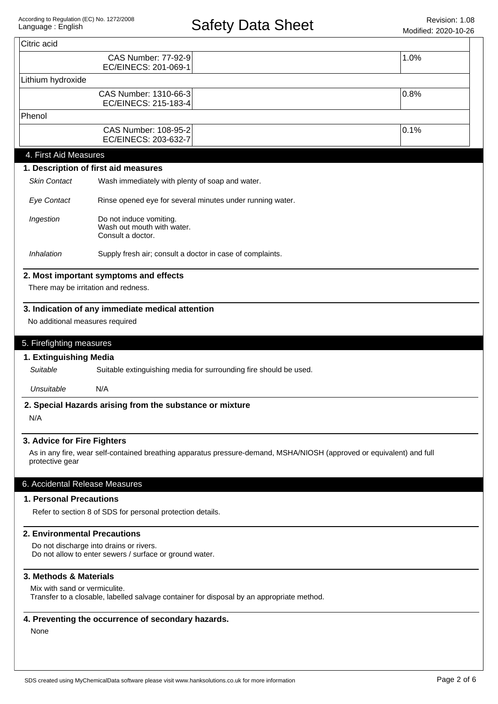|                                                                                         | <b>CAS Number: 77-92-9</b><br>EC/EINECS: 201-069-1                                                                    | 1.0% |  |
|-----------------------------------------------------------------------------------------|-----------------------------------------------------------------------------------------------------------------------|------|--|
| Lithium hydroxide                                                                       |                                                                                                                       |      |  |
|                                                                                         | CAS Number: 1310-66-3<br>EC/EINECS: 215-183-4                                                                         | 0.8% |  |
| Phenol                                                                                  |                                                                                                                       |      |  |
|                                                                                         | CAS Number: 108-95-2<br>EC/EINECS: 203-632-7                                                                          | 0.1% |  |
| 4. First Aid Measures                                                                   |                                                                                                                       |      |  |
|                                                                                         | 1. Description of first aid measures                                                                                  |      |  |
| <b>Skin Contact</b>                                                                     | Wash immediately with plenty of soap and water.                                                                       |      |  |
| <b>Eye Contact</b>                                                                      | Rinse opened eye for several minutes under running water.                                                             |      |  |
| Ingestion<br>Do not induce vomiting.<br>Wash out mouth with water.<br>Consult a doctor. |                                                                                                                       |      |  |
| Inhalation                                                                              | Supply fresh air; consult a doctor in case of complaints.                                                             |      |  |
|                                                                                         | 2. Most important symptoms and effects                                                                                |      |  |
|                                                                                         | There may be irritation and redness.                                                                                  |      |  |
| 5. Firefighting measures<br>1. Extinguishing Media<br>Suitable                          |                                                                                                                       |      |  |
|                                                                                         | Suitable extinguishing media for surrounding fire should be used.                                                     |      |  |
| Unsuitable                                                                              | N/A                                                                                                                   |      |  |
| N/A                                                                                     | 2. Special Hazards arising from the substance or mixture                                                              |      |  |
| 3. Advice for Fire Fighters                                                             |                                                                                                                       |      |  |
| protective gear                                                                         | As in any fire, wear self-contained breathing apparatus pressure-demand, MSHA/NIOSH (approved or equivalent) and full |      |  |
| 6. Accidental Release Measures                                                          |                                                                                                                       |      |  |
| 1. Personal Precautions                                                                 |                                                                                                                       |      |  |
|                                                                                         | Refer to section 8 of SDS for personal protection details.                                                            |      |  |
| <b>2. Environmental Precautions</b>                                                     |                                                                                                                       |      |  |
|                                                                                         | Do not discharge into drains or rivers.<br>Do not allow to enter sewers / surface or ground water.                    |      |  |
| 3. Methods & Materials                                                                  |                                                                                                                       |      |  |
| Mix with sand or vermiculite.                                                           | Transfer to a closable, labelled salvage container for disposal by an appropriate method.                             |      |  |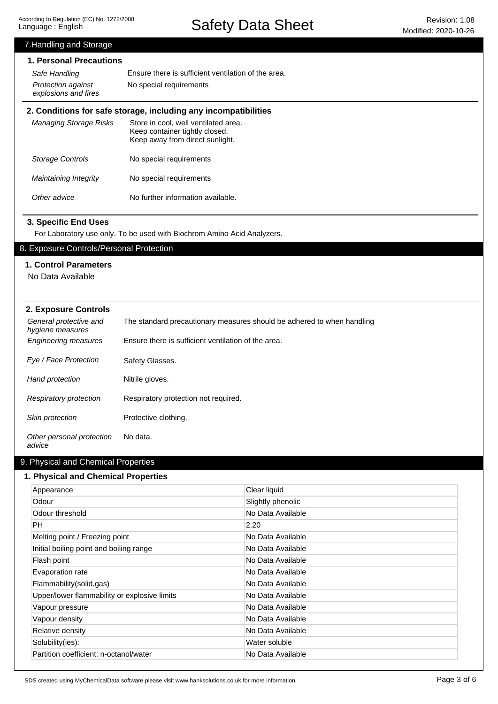Safety Data Sheet Revision: 1.08

# Other advice No further information available. Maintaining Integrity Storage Controls Managing Storage Risks **2. Conditions for safe storage, including any incompatibilities** Store in cool, well ventilated area. Keep container tightly closed. Keep away from direct sunlight. No special requirements No special requirements 7.Handling and Storage **1. Personal Precautions** Ensure there is sufficient ventilation of the area. Protection against No special requirements explosions and fires Safe Handling General protective and hygiene measures The standard precautionary measures should be adhered to when handling Engineering measures Ensure there is sufficient ventilation of the area. Eye / Face Protection Safety Glasses. Hand protection Nitrile gloves. Respiratory protection Respiratory protection not required. Other personal protection advice No data. Skin protection Protective clothing. **2. Exposure Controls** For Laboratory use only. To be used with Biochrom Amino Acid Analyzers. **3. Specific End Uses** 9. Physical and Chemical Properties **1. Physical and Chemical Properties** 8. Exposure Controls/Personal Protection **1. Control Parameters** No Data Available

| Appearance                                   | Clear liquid      |
|----------------------------------------------|-------------------|
| Odour                                        | Slightly phenolic |
| Odour threshold                              | No Data Available |
| PH.                                          | 2.20              |
| Melting point / Freezing point               | No Data Available |
| Initial boiling point and boiling range      | No Data Available |
| Flash point                                  | No Data Available |
| Evaporation rate                             | No Data Available |
| Flammability(solid,gas)                      | No Data Available |
| Upper/lower flammability or explosive limits | No Data Available |
| Vapour pressure                              | No Data Available |
| Vapour density                               | No Data Available |
| Relative density                             | No Data Available |
| Solubility(ies):                             | Water soluble     |
| Partition coefficient: n-octanol/water       | No Data Available |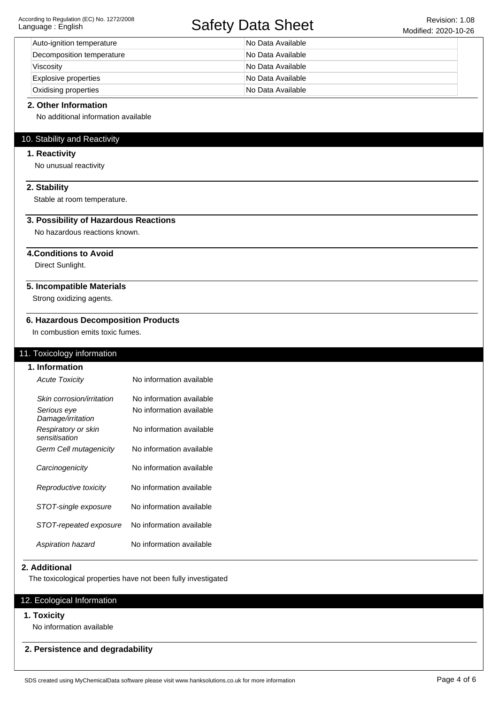# Safety Data Sheet Revision: 1.08

| Auto-ignition temperature   | No Data Available |
|-----------------------------|-------------------|
| Decomposition temperature   | No Data Available |
| Viscosity                   | No Data Available |
| <b>Explosive properties</b> | No Data Available |
| Oxidising properties        | No Data Available |

#### **2. Other Information**

No additional information available

## 10. Stability and Reactivity

#### **1. Reactivity**

No unusual reactivity

## **2. Stability**

Stable at room temperature.

## **3. Possibility of Hazardous Reactions**

No hazardous reactions known.

# **4.Conditions to Avoid**

Direct Sunlight.

### **5. Incompatible Materials**

Strong oxidizing agents.

#### **6. Hazardous Decomposition Products**

In combustion emits toxic fumes.

## 11. Toxicology information

| 1. Information                       |                          |
|--------------------------------------|--------------------------|
| <b>Acute Toxicity</b>                | No information available |
| Skin corrosion/irritation            | No information available |
| Serious eye<br>Damage/irritation     | No information available |
| Respiratory or skin<br>sensitisation | No information available |
| Germ Cell mutagenicity               | No information available |
| Carcinogenicity                      | No information available |
| Reproductive toxicity                | No information available |
| STOT-single exposure                 | No information available |
| STOT-repeated exposure               | No information available |
| Aspiration hazard                    | No information available |

#### **2. Additional**

The toxicological properties have not been fully investigated

## 12. Ecological Information

#### **1. Toxicity**

No information available

#### **2. Persistence and degradability**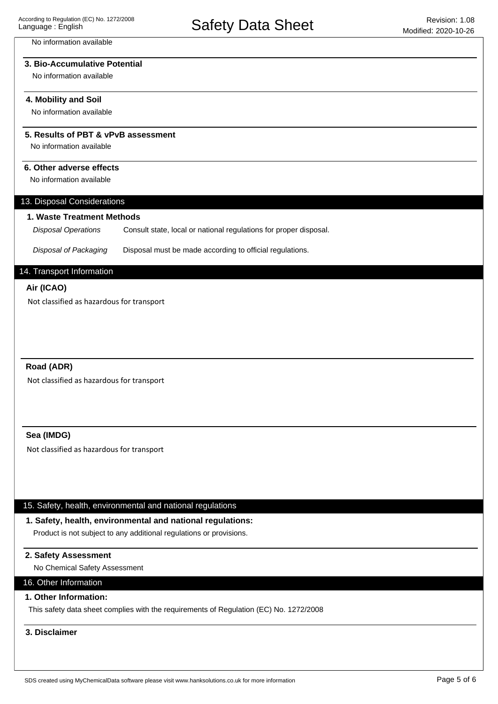#### No information available

## **3. Bio-Accumulative Potential**

No information available

#### **4. Mobility and Soil**

No information available

#### **5. Results of PBT & vPvB assessment**

No information available

#### **6. Other adverse effects**

No information available

#### 13. Disposal Considerations

#### **1. Waste Treatment Methods**

Consult state, local or national regulations for proper disposal. Disposal Operations

Disposal of Packaging Disposal must be made according to official regulations.

# 14. Transport Information

#### **Air (ICAO)**

Not classified as hazardous for transport

## **Road (ADR)**

Not classified as hazardous for transport

#### **Sea (IMDG)**

Not classified as hazardous for transport

#### 15. Safety, health, environmental and national regulations

# **1. Safety, health, environmental and national regulations:**

Product is not subject to any additional regulations or provisions.

# **2. Safety Assessment**

No Chemical Safety Assessment

# 16. Other Information

# **1. Other Information:**

This safety data sheet complies with the requirements of Regulation (EC) No. 1272/2008

# **3. Disclaimer**